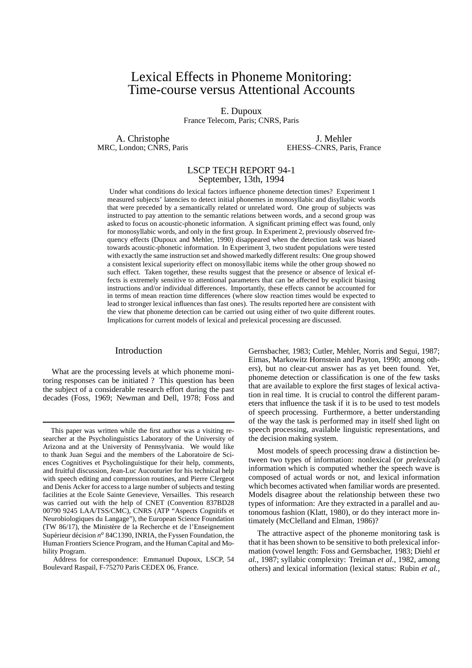# Lexical Effects in Phoneme Monitoring: Time-course versus Attentional Accounts

E. Dupoux France Telecom, Paris; CNRS, Paris

A. Christophe MRC, London; CNRS, Paris

J. Mehler EHESS–CNRS, Paris, France

# LSCP TECH REPORT 94-1 September, 13th, 1994

Under what conditions do lexical factors influence phoneme detection times? Experiment 1 measured subjects' latencies to detect initial phonemes in monosyllabic and disyllabic words that were preceded by a semantically related or unrelated word. One group of subjects was instructed to pay attention to the semantic relations between words, and a second group was asked to focus on acoustic-phonetic information. A significant priming effect was found, only for monosyllabic words, and only in the first group. In Experiment 2, previously observed frequency effects (Dupoux and Mehler, 1990) disappeared when the detection task was biased towards acoustic-phonetic information. In Experiment 3, two student populations were tested with exactly the same instruction set and showed markedly different results: One group showed a consistent lexical superiority effect on monosyllabic items while the other group showed no such effect. Taken together, these results suggest that the presence or absence of lexical effects is extremely sensitive to attentional parameters that can be affected by explicit biasing instructions and/or individual differences. Importantly, these effects cannot be accounted for in terms of mean reaction time differences (where slow reaction times would be expected to lead to stronger lexical influences than fast ones). The results reported here are consistent with the view that phoneme detection can be carried out using either of two quite different routes. Implications for current models of lexical and prelexical processing are discussed.

### Introduction

What are the processing levels at which phoneme monitoring responses can be initiated ? This question has been the subject of a considerable research effort during the past decades (Foss, 1969; Newman and Dell, 1978; Foss and Gernsbacher, 1983; Cutler, Mehler, Norris and Segui, 1987; Eimas, Markowitz Hornstein and Payton, 1990; among others), but no clear-cut answer has as yet been found. Yet, phoneme detection or classification is one of the few tasks that are available to explore the first stages of lexical activation in real time. It is crucial to control the different parameters that influence the task if it is to be used to test models of speech processing. Furthermore, a better understanding of the way the task is performed may in itself shed light on speech processing, available linguistic representations, and the decision making system.

Most models of speech processing draw a distinction between two types of information: nonlexical (or prelexical) information which is computed whether the speech wave is composed of actual words or not, and lexical information which becomes activated when familiar words are presented. Models disagree about the relationship between these two types of information: Are they extracted in a parallel and autonomous fashion (Klatt, 1980), or do they interact more intimately (McClelland and Elman, 1986)?

The attractive aspect of the phoneme monitoring task is that it has been shown to be sensitive to both prelexical information (vowel length: Foss and Gernsbacher, 1983; Diehl *et al.*, 1987; syllabic complexity: Treiman *et al.*, 1982, among others) and lexical information (lexical status: Rubin *et al.*,

This paper was written while the first author was a visiting researcher at the Psycholinguistics Laboratory of the University of Arizona and at the University of Pennsylvania. We would like to thank Juan Segui and the members of the Laboratoire de Sciences Cognitives et Psycholinguistique for their help, comments, and fruitful discussion, Jean-Luc Aucouturier for his technical help with speech editing and compression routines, and Pierre Clergeot and Denis Acker for accessto a large number of subjects and testing facilities at the Ecole Sainte Genevieve, Versailles. This research was carried out with the help of CNET (Convention 837BD28 00790 9245 LAA/TSS/CMC), CNRS (ATP "Aspects Cognitifs et Neurobiologiques du Langage"), the European Science Foundation (TW 86/17), the Ministère de la Recherche et de l'Enseignement Supérieur décision  $n^{\circ}$  84C1390, INRIA, the Fyssen Foundation, the Human Frontiers Science Program, and the Human Capital and Mobility Program.

Address for correspondence: Emmanuel Dupoux, LSCP, 54 Boulevard Raspail, F-75270 Paris CEDEX 06, France.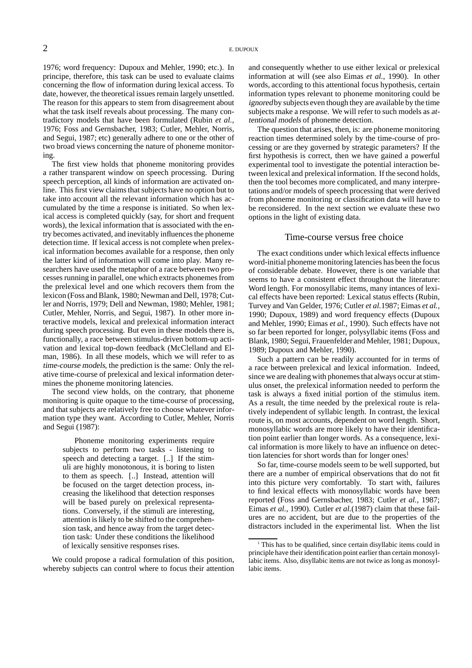1976; word frequency: Dupoux and Mehler, 1990; etc.). In principe, therefore, this task can be used to evaluate claims concerning the flow of information during lexical access. To date, however, the theoretical issues remain largely unsettled. The reason for this appears to stem from disagreement about what the task itself reveals about processing. The many contradictory models that have been formulated (Rubin *et al.*, 1976; Foss and Gernsbacher, 1983; Cutler, Mehler, Norris, and Segui, 1987; etc) generally adhere to one or the other of two broad views concerning the nature of phoneme monitoring.

The first view holds that phoneme monitoring provides a rather transparent window on speech processing. During speech perception, all kinds of information are activated online. This first view claims that subjects have no option but to take into account all the relevant information which has accumulated by the time a response is initiated. So when lexical access is completed quickly (say, for short and frequent words), the lexical information that is associated with the entry becomes activated, and inevitably influences the phoneme detection time. If lexical access is not complete when prelexical information becomes available for a response, then only the latter kind of information will come into play. Many researchers have used the metaphor of a race between two processes running in parallel, one which extracts phonemes from the prelexical level and one which recovers them from the lexicon (Foss and Blank, 1980; Newman and Dell, 1978; Cutler and Norris, 1979; Dell and Newman, 1980; Mehler, 1981; Cutler, Mehler, Norris, and Segui, 1987). In other more interactive models, lexical and prelexical information interact during speech processing. But even in these models there is, functionally, a race between stimulus-driven bottom-up activation and lexical top-down feedback (McClelland and Elman, 1986). In all these models, which we will refer to as time-course models, the prediction is the same: Only the relative time-course of prelexical and lexical information determines the phoneme monitoring latencies.

The second view holds, on the contrary, that phoneme monitoring is quite opaque to the time-course of processing, and that subjects are relatively free to choose whatever information type they want. According to Cutler, Mehler, Norris and Segui (1987):

> Phoneme monitoring experiments require subjects to perform two tasks - listening to speech and detecting a target. [..] If the stimuli are highly monotonous, it is boring to listen to them as speech. [..] Instead, attention will be focused on the target detection process, increasing the likelihood that detection responses will be based purely on prelexical representations. Conversely, if the stimuli are interesting, attention is likely to be shifted to the comprehension task, and hence away from the target detection task: Under these conditions the likelihood of lexically sensitive responses rises.

We could propose a radical formulation of this position, whereby subjects can control where to focus their attention and consequently whether to use either lexical or prelexical information at will (see also Eimas *et al.*, 1990). In other words, according to this attentional focus hypothesis, certain information types relevant to phoneme monitoring could be ignored by subjects even though they are available by the time subjects make a response. We will refer to such models as attentional models of phoneme detection.

The question that arises, then, is: are phoneme monitoring reaction times determined solely by the time-course of processing or are they governed by strategic parameters? If the first hypothesis is correct, then we have gained a powerful experimental tool to investigate the potential interaction between lexical and prelexical information. If the second holds, then the tool becomes more complicated, and many interpretations and/or models of speech processing that were derived from phoneme monitoring or classification data will have to be reconsidered. In the next section we evaluate these two options in the light of existing data.

# Time-course versus free choice

The exact conditions under which lexical effects influence word-initial phoneme monitoring latencies has been the focus of considerable debate. However, there is one variable that seems to have a consistent effect throughout the literature: Word length. For monosyllabic items, many intances of lexical effects have been reported: Lexical status effects (Rubin, Turvey and Van Gelder, 1976; Cutler *et al.*1987; Eimas *et al.*, 1990; Dupoux, 1989) and word frequency effects (Dupoux and Mehler, 1990; Eimas *et al.*, 1990). Such effects have not so far been reported for longer, polysyllabic items (Foss and Blank, 1980; Segui, Frauenfelder and Mehler, 1981; Dupoux, 1989; Dupoux and Mehler, 1990).

Such a pattern can be readily accounted for in terms of a race between prelexical and lexical information. Indeed, since we are dealing with phonemes that always occur at stimulus onset, the prelexical information needed to perform the task is always a fixed initial portion of the stimulus item. As a result, the time needed by the prelexical route is relatively independent of syllabic length. In contrast, the lexical route is, on most accounts, dependent on word length. Short, monosyllabic words are more likely to have their identification point earlier than longer words. As a consequence, lexical information is more likely to have an influence on detection latencies for short words than for longer ones!

So far, time-course models seem to be well supported, but there are a number of empirical observations that do not fit into this picture very comfortably. To start with, failures to find lexical effects with monosyllabic words have been reported (Foss and Gernsbacher, 1983; Cutler *et al.*, 1987; Eimas *et al.*, 1990). Cutler *et al.*(1987) claim that these failures are no accident, but are due to the properties of the distractors included in the experimental list. When the list

<sup>&</sup>lt;sup>1</sup> This has to be qualified, since certain disyllabic items could in principle have their identification point earlier than certain monosyllabic items. Also, disyllabic items are not twice as long as monosyllabic items.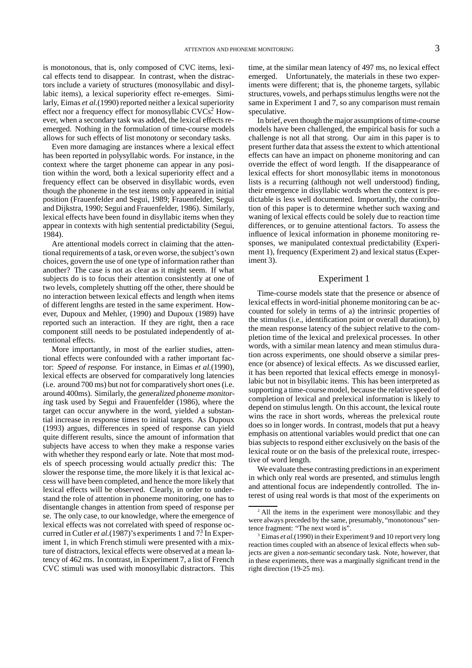is monotonous, that is, only composed of CVC items, lexical effects tend to disappear. In contrast, when the distractors include a variety of structures (monosyllabic and disyllabic items), a lexical superiority effect re-emerges. Similarly, Eimas *et al.*(1990) reported neither a lexical superiority effect nor a frequency effect for monosyllabic CVCs<sup>2</sup> However, when a secondary task was added, the lexical effects reemerged. Nothing in the formulation of time-course models allows for such effects of list monotony or secondary tasks.

Even more damaging are instances where a lexical effect has been reported in polysyllabic words. For instance, in the context where the target phoneme can appear in any position within the word, both a lexical superiority effect and a frequency effect can be observed in disyllabic words, even though the phoneme in the test items only appeared in initial position (Frauenfelder and Segui, 1989; Frauenfelder, Segui and Dijkstra, 1990; Segui and Frauenfelder, 1986). Similarly, lexical effects have been found in disyllabic items when they appear in contexts with high sentential predictability (Segui, 1984).

Are attentional models correct in claiming that the attentional requirements of a task, or even worse, the subject's own choices, govern the use of one type of information rather than another? The case is not as clear as it might seem. If what subjects do is to focus their attention consistently at one of two levels, completely shutting off the other, there should be no interaction between lexical effects and length when items of different lengths are tested in the same experiment. However, Dupoux and Mehler, (1990) and Dupoux (1989) have reported such an interaction. If they are right, then a race component still needs to be postulated independently of attentional effects.

More importantly, in most of the earlier studies, attentional effects were confounded with a rather important factor: Speed of response. For instance, in Eimas *et al.*(1990), lexical effects are observed for comparatively long latencies (i.e. around 700 ms) but not for comparatively short ones(i.e. around 400ms). Similarly, the generalized phoneme monitoring task used by Segui and Frauenfelder (1986), where the target can occur anywhere in the word, yielded a substantial increase in response times to initial targets. As Dupoux (1993) argues, differences in speed of response can yield quite different results, since the amount of information that subjects have access to when they make a response varies with whether they respond early or late. Note that most models of speech processing would actually predict this: The slower the response time, the more likely it is that lexical access will have been completed, and hence the more likely that lexical effects will be observed. Clearly, in order to understand the role of attention in phoneme monitoring, one has to disentangle changes in attention from speed of response per se. The only case, to our knowledge, where the emergence of lexical effects was not correlated with speed of response occurred in Cutler *et al.*(1987)'s experiments 1 and 7<sup>3</sup>. In Experiment 1, in which French stimuli were presented with a mixture of distractors, lexical effects were observed at a mean latency of 462 ms. In contrast, in Experiment 7, a list of French CVC stimuli was used with monosyllabic distractors. This

time, at the similar mean latency of 497 ms, no lexical effect emerged. Unfortunately, the materials in these two experiments were different; that is, the phoneme targets, syllabic structures, vowels, and perhaps stimulus lengths were not the same in Experiment 1 and 7, so any comparison must remain speculative.

In brief, even though the major assumptions of time-course models have been challenged, the empirical basis for such a challenge is not all that strong. Our aim in this paper is to present further data that assess the extent to which attentional effects can have an impact on phoneme monitoring and can override the effect of word length. If the disappearance of lexical effects for short monosyllabic items in monotonous lists is a recurring (although not well understood) finding, their emergence in disyllabic words when the context is predictable is less well documented. Importantly, the contribution of this paper is to determine whether such waxing and waning of lexical effects could be solely due to reaction time differences, or to genuine attentional factors. To assess the influence of lexical information in phoneme monitoring responses, we manipulated contextual predictability (Experiment 1), frequency (Experiment 2) and lexical status (Experiment 3).

# Experiment 1

Time-course models state that the presence or absence of lexical effects in word-initial phoneme monitoring can be accounted for solely in terms of a) the intrinsic properties of the stimulus (i.e., identification point or overall duration), b) the mean response latency of the subject relative to the completion time of the lexical and prelexical processes. In other words, with a similar mean latency and mean stimulus duration across experiments, one should observe a similar presence (or absence) of lexical effects. As we discussed earlier, it has been reported that lexical effects emerge in monosyllabic but not in bisyllabic items. This has been interpreted as supporting a time-coursemodel, because the relative speed of completion of lexical and prelexical information is likely to depend on stimulus length. On this account, the lexical route wins the race in short words, whereas the prelexical route does so in longer words. In contrast, models that put a heavy emphasis on attentional variables would predict that one can bias subjects to respond either exclusively on the basis of the lexical route or on the basis of the prelexical route, irrespective of word length.

We evaluate these contrasting predictions in an experiment in which only real words are presented, and stimulus length and attentional focus are independently controlled. The interest of using real words is that most of the experiments on

<sup>&</sup>lt;sup>2</sup> All the items in the experiment were monosyllabic and they were always preceded by the same, presumably, "monotonous" sentence fragment: "The next word is".

<sup>&</sup>lt;sup>3</sup> Eimas *et al.*(1990) in their Experiment 9 and 10 report very long reaction times coupled with an absence of lexical effects when subjects are given a non-semantic secondary task. Note, however, that in these experiments, there was a marginally significant trend in the right direction (19-25 ms).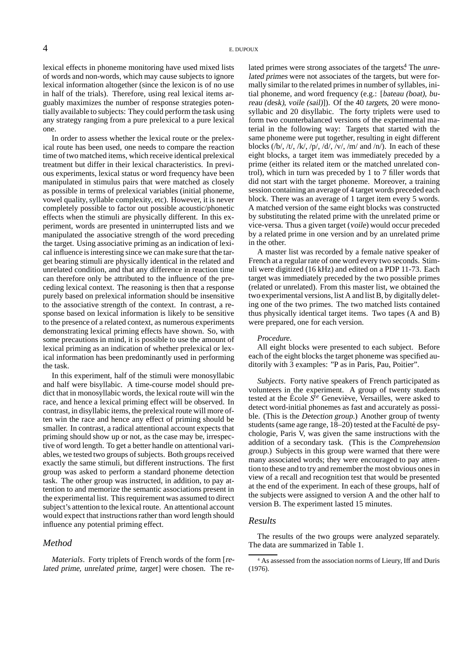lexical effects in phoneme monitoring have used mixed lists of words and non-words, which may cause subjects to ignore lexical information altogether (since the lexicon is of no use in half of the trials). Therefore, using real lexical items arguably maximizes the number of response strategies potentially available to subjects: They could perform the task using any strategy ranging from a pure prelexical to a pure lexical one.

In order to assess whether the lexical route or the prelexical route has been used, one needs to compare the reaction time of two matched items, which receive identical prelexical treatment but differ in their lexical characteristics. In previous experiments, lexical status or word frequency have been manipulated in stimulus pairs that were matched as closely as possible in terms of prelexical variables (initial phoneme, vowel quality, syllable complexity, etc). However, it is never completely possible to factor out possible acoustic/phonetic effects when the stimuli are physically different. In this experiment, words are presented in uninterrupted lists and we manipulated the associative strength of the word preceding the target. Using associative priming as an indication of lexical influence is interesting since we can make sure that the target bearing stimuli are physically identical in the related and unrelated condition, and that any difference in reaction time can therefore only be attributed to the influence of the preceding lexical context. The reasoning is then that a response purely based on prelexical information should be insensitive to the associative strength of the context. In contrast, a response based on lexical information is likely to be sensitive to the presence of a related context, as numerous experiments demonstrating lexical priming effects have shown. So, with some precautions in mind, it is possible to use the amount of lexical priming as an indication of whether prelexical or lexical information has been predominantly used in performing the task.

In this experiment, half of the stimuli were monosyllabic and half were bisyllabic. A time-course model should predict that in monosyllabic words, the lexical route will win the race, and hence a lexical priming effect will be observed. In contrast, in disyllabic items, the prelexical route will more often win the race and hence any effect of priming should be smaller. In contrast, a radical attentional account expects that priming should show up or not, as the case may be, irrespective of word length. To get a better handle on attentional variables, we tested two groups of subjects. Both groups received exactly the same stimuli, but different instructions. The first group was asked to perform a standard phoneme detection task. The other group was instructed, in addition, to pay attention to and memorize the semantic associations present in the experimental list. This requirement was assumed to direct subject's attention to the lexical route. An attentional account would expect that instructions rather than word length should influence any potential priming effect.

### *Method*

*Materials*. Forty triplets of French words of the form [related prime, unrelated prime, target] were chosen. The re-

lated primes were strong associates of the targets.<sup>4</sup> The unrelated primes were not associates of the targets, but were formally similar to the related primes in number of syllables, initial phoneme, and word frequency (e.g.: [bateau (boat), bureau (desk), voile (sail)]). Of the 40 targets, 20 were monosyllabic and 20 disyllabic. The forty triplets were used to form two counterbalanced versions of the experimental material in the following way: Targets that started with the same phoneme were put together, resulting in eight different blocks  $(\frac{b}{\lambda}, \frac{t}{\lambda}, \frac{k}{\lambda}, \frac{p}{\lambda}, \frac{d}{\lambda}, \frac{w}{\lambda})$  and  $\frac{n}{\lambda}$ . In each of these eight blocks, a target item was immediately preceded by a prime (either its related item or the matched unrelated control), which in turn was preceded by 1 to 7 filler words that did not start with the target phoneme. Moreover, a training session containing an average of 4 target words preceded each block. There was an average of 1 target item every 5 words. A matched version of the same eight blocks was constructed by substituting the related prime with the unrelated prime or vice-versa. Thus a given target (voile) would occur preceded by a related prime in one version and by an unrelated prime in the other.

A master list was recorded by a female native speaker of French at a regular rate of one word every two seconds. Stimuli were digitized (16 kHz) and edited on a PDP 11-73. Each target was immediately preceded by the two possible primes (related or unrelated). From this master list, we obtained the two experimental versions, list A and list B, by digitally deleting one of the two primes. The two matched lists contained thus physically identical target items. Two tapes (A and B) were prepared, one for each version.

#### *Procedure*.

All eight blocks were presented to each subject. Before each of the eight blocks the target phoneme was specified auditorily with 3 examples: "P as in Paris, Pau, Poitier".

*Subjects*. Forty native speakers of French participated as volunteers in the experiment. A group of twenty students tested at the École S<sup>te</sup> Geneviève, Versailles, were asked to detect word-initial phonemes as fast and accurately as possible. (This is the Detection group.) Another group of twenty students (same age range, 18–20) tested at the Faculté de psychologie, Paris V, was given the same instructions with the addition of a secondary task. (This is the Comprehension group.) Subjects in this group were warned that there were many associated words; they were encouraged to pay attention to these and to try and rememberthe most obvious onesin view of a recall and recognition test that would be presented at the end of the experiment. In each of these groups, half of the subjects were assigned to version A and the other half to version B. The experiment lasted 15 minutes.

### *Results*

The results of the two groups were analyzed separately. The data are summarized in Table 1.

<sup>4</sup> As assessed from the association norms of Lieury, Iff and Duris (1976).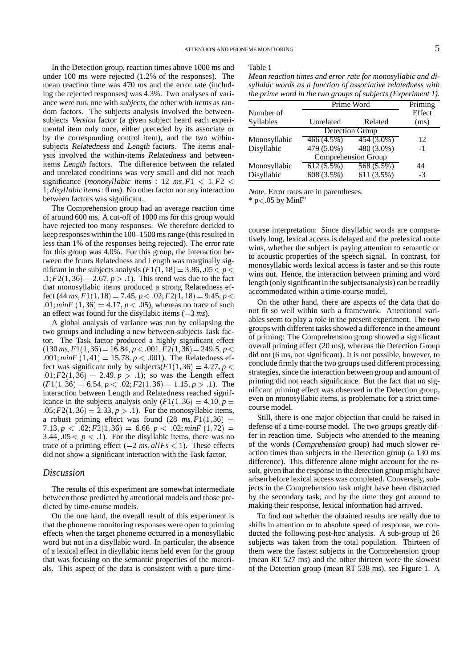In the Detection group, reaction times above 1000 ms and under 100 ms were rejected (1.2% of the responses). The mean reaction time was 470 ms and the error rate (including the rejected responses) was 4.3%. Two analyses of variance were run, one with *subjects*, the other with *items* as random factors. The subjects analysis involved the betweensubjects Version factor (a given subject heard each experimental item only once, either preceded by its associate or by the corresponding control item), and the two withinsubjects Relatedness and Length factors. The items analysis involved the within-items Relatedness and betweenitems Length factors. The difference between the related and unrelated conditions was very small and did not reach significance (*monosyllabic items* : 12  $ms$ ,  $F1$  < 1,  $F2$  < 1; *disyllabic items*: 0 *ms*). No other factor nor any interaction between factors was significant.

The Comprehension group had an average reaction time of around 600 ms. A cut-off of 1000 ms for this group would have rejected too many responses. We therefore decided to keep responses within the 100-1500 ms range (this resulted in less than 1% of the responses being rejected). The error rate for this group was 4.0%. For this group, the interaction between the fctors Relatedness and Length was marginally significant in the subjects analysis  $(F1(1, 18) = 3.86, 05 < p <$  $1; F2(1, 36) = 2.67, p > 1$ . This trend was due to the fact that monosyllabic items produced a strong Relatedness effect  $(44 \text{ ms}, F1(1, 18) = 7.45, p < .02; F2(1, 18) = 9.45, p < .02$  $0.01; minF(1, 36) = 4.17, p < 0.05$ , whereas no trace of such an effect was found for the disyllabic items  $(-3 \, \text{ms})$ .

A global analysis of variance was run by collapsing the two groups and including a new between-subjects Task factor. The Task factor produced a highly significant effect  $(130 \text{ ms}, F1(1, 36) = 16.84, p < .001, F2(1, 36) = 249.5, p < .001$  $1.001$ ;  $minF(1, 41) = 15.78$ ,  $p < .001$ ). The Relatedness effect was significant only by subjects( $F1(1,36) = 4.27, p <$  $0.01; F2(1, 36) = 2.49, p > .1$ ; so was the Length effect  $(F1(1, 36) = 6.54, p < 0.02; F2(1, 36) = 1.15, p > 1$ . The interaction between Length and Relatedness reached significance in the subjects analysis only  $(F1(1, 36) = 4.10, p =$  $0.05; F2(1, 36) = 2.33, p > 1$ . For the monosyllabic items, a robust priming effect was found  $(28 \text{ ms}, F1(1, 36))$  =  $7.13, p \lt 0.02; F2(1, 36) = 6.66, p \lt 0.02; minF(1, 72) = 0.66$ 3.44,  $0.05 < p < 1$ ). For the disyllabic items, there was no trace of a priming effect  $(-2 \text{ ms}, allFs < 1)$ . These effects did not show a significant interaction with the Task factor.

#### *Discussion*

The results of this experiment are somewhat intermediate between those predicted by attentional models and those predicted by time-course models.

On the one hand, the overall result of this experiment is that the phoneme monitoring responses were open to priming effects when the target phoneme occurred in a monosyllabic word but not in a disyllabic word. In particular, the absence of a lexical effect in disyllabic items held even for the group that was focusing on the semantic properties of the materials. This aspect of the data is consistent with a pure time-

#### Table 1

*Mean reaction times and error rate for monosyllabic and disyllabic words as a function of associative relatedness with the prime word in the two groups of subjects (Experiment 1).*

|                     | Prime Word | Priming      |        |  |  |
|---------------------|------------|--------------|--------|--|--|
| Number of           |            |              | Effect |  |  |
| Syllables           | Unrelated  | Related      | (ms)   |  |  |
|                     |            |              |        |  |  |
| Monosyllabic        | 466 (4.5%) | $454(3.0\%)$ | 12     |  |  |
| Disyllabic          | 479 (5.0%) | 480 (3.0%)   | $-1$   |  |  |
| Comprehension Group |            |              |        |  |  |
| Monosyllabic        | 612(5.5%)  | 568 (5.5%)   | 44     |  |  |
| Disyllabic          | 608 (3.5%) | 611 (3.5%)   | $-3$   |  |  |

Note. Error rates are in parentheses.

 $*$  p $<$ .05 by MinF'

course interpretation: Since disyllabic words are comparatively long, lexical access is delayed and the prelexical route wins, whether the subject is paying attention to semantic or to acoustic properties of the speech signal. In contrast, for monosyllabic words lexical access is faster and so this route wins out. Hence, the interaction between priming and word length (only significantin the subjects analysis) can be readily accommodated within a time-course model.

On the other hand, there are aspects of the data that do not fit so well within such a framework. Attentional variables seem to play a role in the present experiment. The two groups with different tasks showed a difference in the amount of priming: The Comprehension group showed a significant overall priming effect (20 ms), whereas the Detection Group did not (6 ms, not significant). It is not possible, however, to conclude firmly that the two groups used different processing strategies, since the interaction between group and amount of priming did not reach significance. But the fact that no significant priming effect was observed in the Detection group, even on monosyllabic items, is problematic for a strict timecourse model.

Still, there is one major objection that could be raised in defense of a time-course model. The two groups greatly differ in reaction time. Subjects who attended to the meaning of the words (Comprehension group) had much slower reaction times than subjects in the Detection group (a 130 ms difference). This difference alone might account for the result, given that the response in the detection group might have arisen before lexical access was completed. Conversely, subjects in the Comprehension task might have been distracted by the secondary task, and by the time they got around to making their response, lexical information had arrived.

To find out whether the obtained results are really due to shifts in attention or to absolute speed of response, we conducted the following post-hoc analysis. A sub-group of 26 subjects was taken from the total population. Thirteen of them were the fastest subjects in the Comprehension group (mean RT 527 ms) and the other thirteen were the slowest of the Detection group (mean RT 538 ms), see Figure 1. A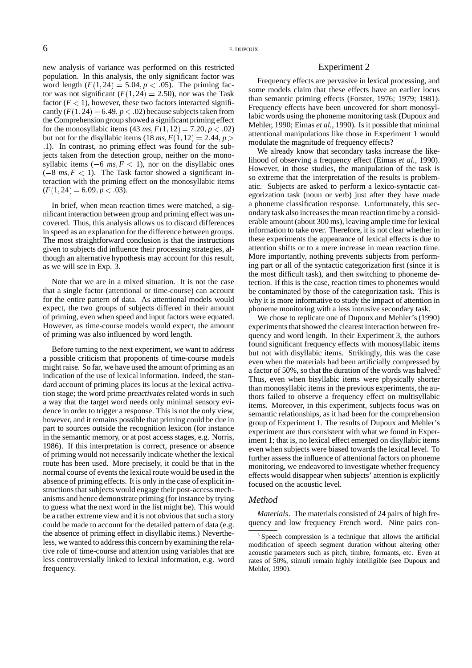new analysis of variance was performed on this restricted population. In this analysis, the only significant factor was word length  $(F(1, 24) = 5.04, p < .05)$ . The priming factor was not significant  $(F(1, 24) = 2.50)$ , nor was the Task factor  $(F < 1)$ , however, these two factors interacted significantly  $(F(1, 24) = 6.49, p < .02)$  because subjects taken from the Comprehension group showed a significant priming effect for the monosyllabic items  $(43 \text{ ms}, F(1, 12) = 7.20, p < 0.02)$ but not for the disyllabic items  $(18 \text{ ms}, F(1, 12) = 2.44, p >$  1). In contrast, no priming effect was found for the subjects taken from the detection group, neither on the monosyllabic items  $(-6 \text{ ms}, F < 1)$ , nor on the disyllabic ones  $(-8 \text{ ms}, F < 1)$ . The Task factor showed a significant interaction with the priming effect on the monosyllabic items  $(F(1, 24) = 6.09, p < .03).$ 

In brief, when mean reaction times were matched, a significant interaction between group and priming effect was uncovered. Thus, this analysis allows us to discard differences in speed as an explanation for the difference between groups. The most straightforward conclusion is that the instructions given to subjects did influence their processing strategies, although an alternative hypothesis may account for this result, as we will see in Exp. 3.

Note that we are in a mixed situation. It is not the case that a single factor (attentional or time-course) can account for the entire pattern of data. As attentional models would expect, the two groups of subjects differed in their amount of priming, even when speed and input factors were equated. However, as time-course models would expect, the amount of priming was also influenced by word length.

Before turning to the next experiment, we want to address a possible criticism that proponents of time-course models might raise. So far, we have used the amount of priming as an indication of the use of lexical information. Indeed, the standard account of priming places its locus at the lexical activation stage; the word prime preactivates related words in such a way that the target word needs only minimal sensory evidence in order to trigger a response. This is not the only view, however, and it remains possible that priming could be due in part to sources outside the recognition lexicon (for instance in the semantic memory, or at post access stages, e.g. Norris, 1986). If this interpretation is correct, presence or absence of priming would not necessarily indicate whether the lexical route has been used. More precisely, it could be that in the normal course of events the lexical route would be used in the absence of priming effects. It is only in the case of explicit instructions that subjects would engage their post-access mechanisms and hence demonstrate priming (forinstance by trying to guess what the next word in the list might be). This would be a rather extreme view and it is not obvious that such a story could be made to account for the detailed pattern of data (e.g. the absence of priming effect in disyllabic items.) Nevertheless, we wanted to address this concern by examining the relative role of time-course and attention using variables that are less controversially linked to lexical information, e.g. word frequency.

# Experiment 2

Frequency effects are pervasive in lexical processing, and some models claim that these effects have an earlier locus than semantic priming effects (Forster, 1976; 1979; 1981). Frequency effects have been uncovered for short monosyllabic words using the phoneme monitoring task (Dupoux and Mehler, 1990; Eimas *et al.*, 1990). Is it possible that minimal attentional manipulations like those in Experiment 1 would modulate the magnitude of frequency effects?

We already know that secondary tasks increase the likelihood of observing a frequency effect (Eimas *et al.*, 1990). However, in those studies, the manipulation of the task is so extreme that the interpretation of the results is problematic. Subjects are asked to perform a lexico-syntactic categorization task (noun or verb) just after they have made a phoneme classification response. Unfortunately, this secondary task also increasesthe mean reaction time by a considerable amount (about 300 ms), leaving ample time for lexical information to take over. Therefore, it is not clear whether in these experiments the appearance of lexical effects is due to attention shifts or to a mere increase in mean reaction time. More importantly, nothing prevents subjects from performing part or all of the syntactic categorization first (since it is the most difficult task), and then switching to phoneme detection. If this is the case, reaction times to phonemes would be contaminated by those of the categorization task. This is why it is more informative to study the impact of attention in phoneme monitoring with a less intrusive secondary task.

We chose to replicate one of Dupoux and Mehler's (1990) experiments that showed the clearest interaction between frequency and word length. In their Experiment 3, the authors found significant frequency effects with monosyllabic items but not with disyllabic items. Strikingly, this was the case even when the materials had been artificially compressed by a factor of 50%, so that the duration of the words was halved<sup>5</sup> Thus, even when bisyllabic items were physically shorter than monosyllabic items in the previous experiments, the authors failed to observe a frequency effect on multisyllabic items. Moreover, in this experiment, subjects focus was on semantic relationships, as it had been for the comprehension group of Experiment 1. The results of Dupoux and Mehler's experiment are thus consistent with what we found in Experiment 1; that is, no lexical effect emerged on disyllabic items even when subjects were biased towards the lexical level. To further assess the influence of attentional factors on phoneme monitoring, we endeavored to investigate whether frequency effects would disappear when subjects' attention is explicitly focused on the acoustic level.

#### *Method*

*Materials*. The materials consisted of 24 pairs of high frequency and low frequency French word. Nine pairs con-

<sup>&</sup>lt;sup>5</sup> Speech compression is a technique that allows the artificial modification of speech segment duration without altering other acoustic parameters such as pitch, timbre, formants, etc. Even at rates of 50%, stimuli remain highly intelligible (see Dupoux and Mehler, 1990).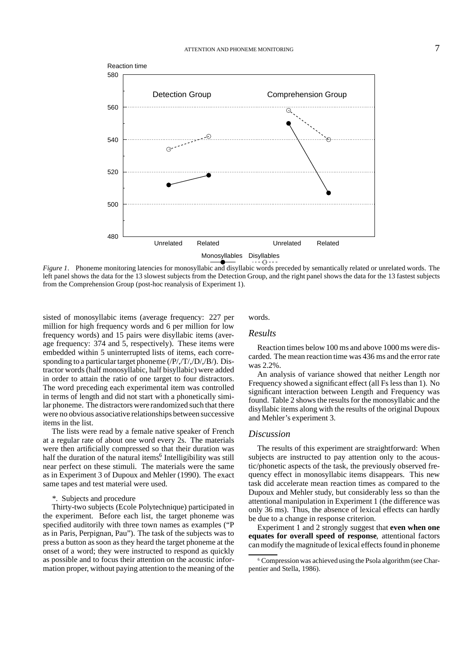

*Figure 1*. Phoneme monitoring latencies for monosyllabic and disyllabic words preceded by semantically related or unrelated words. The left panel shows the data for the 13 slowest subjects from the Detection Group, and the right panel shows the data for the 13 fastest subjects from the Comprehension Group (post-hoc reanalysis of Experiment 1).

sisted of monosyllabic items (average frequency: 227 per million for high frequency words and 6 per million for low frequency words) and 15 pairs were disyllabic items (average frequency: 374 and 5, respectively). These items were embedded within 5 uninterrupted lists of items, each corresponding to a particular target phoneme (/P/,/T/,/D/,/B/). Distractor words (half monosyllabic, half bisyllabic) were added in order to attain the ratio of one target to four distractors. The word preceding each experimental item was controlled in terms of length and did not start with a phonetically similar phoneme. The distractors were randomized such that there were no obvious associative relationships between successive items in the list.

The lists were read by a female native speaker of French at a regular rate of about one word every 2s. The materials were then artificially compressed so that their duration was half the duration of the natural items<sup>6</sup> Intelligibility was still near perfect on these stimuli. The materials were the same as in Experiment 3 of Dupoux and Mehler (1990). The exact same tapes and test material were used.

#### *\**. Subjects and procedure

Thirty-two subjects (Ecole Polytechnique) participated in the experiment. Before each list, the target phoneme was specified auditorily with three town names as examples ("P as in Paris, Perpignan, Pau"). The task of the subjects was to press a button as soon as they heard the target phoneme at the onset of a word; they were instructed to respond as quickly as possible and to focus their attention on the acoustic information proper, without paying attention to the meaning of the words.

#### *Results*

Reaction times below 100 ms and above 1000 ms were discarded. The mean reaction time was 436 ms and the error rate was 2.2%.

An analysis of variance showed that neither Length nor Frequency showed a significant effect (all Fs less than 1). No significant interaction between Length and Frequency was found. Table 2 shows the results for the monosyllabic and the disyllabic items along with the results of the original Dupoux and Mehler's experiment 3.

# *Discussion*

The results of this experiment are straightforward: When subjects are instructed to pay attention only to the acoustic/phonetic aspects of the task, the previously observed frequency effect in monosyllabic items disappears. This new task did accelerate mean reaction times as compared to the Dupoux and Mehler study, but considerably less so than the attentional manipulation in Experiment 1 (the difference was only 36 ms). Thus, the absence of lexical effects can hardly be due to a change in response criterion.

Experiment 1 and 2 strongly suggest that **even when one equates for overall speed of response**, attentional factors can modify the magnitude of lexical effects found in phoneme

<sup>&</sup>lt;sup>6</sup> Compression was achieved using the Psola algorithm (see Charpentier and Stella, 1986).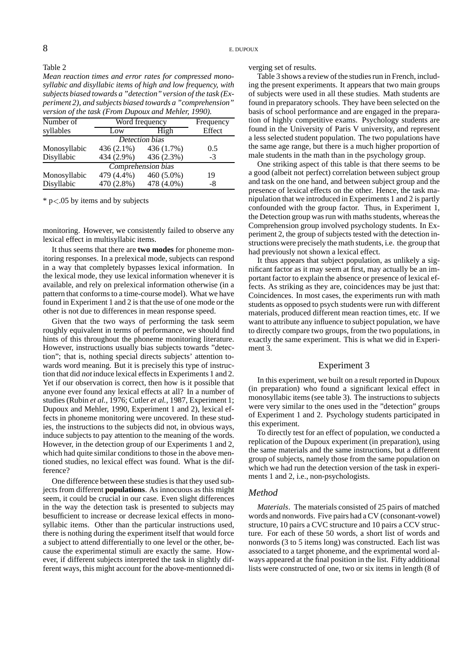Table 2

*Mean reaction times and error rates for compressed monosyllabic and disyllabic items of high and low frequency, with subjects biased towards a"detection"version ofthe task (Experiment 2), and subjects biased towards a"comprehension" version of the task (From Dupoux and Mehler, 1990).*

| Number of      | Word frequency | Frequency          |        |  |  |
|----------------|----------------|--------------------|--------|--|--|
| syllables      | Low            | High               | Effect |  |  |
| Detection bias |                |                    |        |  |  |
| Monosyllabic   | $436(2.1\%)$   | 436 (1.7%)         | 0.5    |  |  |
| Disyllabic     | 434 (2.9%)     | 436 (2.3%)         | $-3$   |  |  |
|                |                | Comprehension bias |        |  |  |
| Monosyllabic   | 479 (4.4%)     | 460 (5.0%)         | 19     |  |  |
| Disyllabic     | 470 (2.8%)     | 478 (4.0%)         | -8     |  |  |

 $*$  p $<$ .05 by items and by subjects

monitoring. However, we consistently failed to observe any lexical effect in multisyllabic items.

It thus seems that there are **two modes** for phoneme monitoring responses. In a prelexical mode, subjects can respond in a way that completely bypasses lexical information. In the lexical mode, they use lexical information whenever it is available, and rely on prelexical information otherwise (in a pattern that conforms to a time-course model). What we have found in Experiment 1 and 2 is that the use of one mode or the other is not due to differences in mean response speed.

Given that the two ways of performing the task seem roughly equivalent in terms of performance, we should find hints of this throughout the phoneme monitoring literature. However, instructions usually bias subjects towards "detection"; that is, nothing special directs subjects' attention towards word meaning. But it is precisely this type of instruction that did notinduce lexical effectsin Experiments 1 and 2. Yet if our observation is correct, then how is it possible that anyone ever found any lexical effects at all? In a number of studies (Rubin *et al.*, 1976; Cutler *et al.*, 1987, Experiment 1; Dupoux and Mehler, 1990, Experiment 1 and 2), lexical effects in phoneme monitoring were uncovered. In these studies, the instructions to the subjects did not, in obvious ways, induce subjects to pay attention to the meaning of the words. However, in the detection group of our Experiments 1 and 2, which had quite similar conditions to those in the above mentioned studies, no lexical effect was found. What is the difference?

One difference between these studies is that they used subjects from different **populations**. As innocuous as this might seem, it could be crucial in our case. Even slight differences in the way the detection task is presented to subjects may besufficient to increase or decrease lexical effects in monosyllabic items. Other than the particular instructions used, there is nothing during the experiment itself that would force a subject to attend differentially to one level or the other, because the experimental stimuli are exactly the same. However, if different subjects interpreted the task in slightly different ways, this might account for the above-mentionned di-

 $8$  E. DUPOUX

verging set of results.

Table 3 shows a review of the studies run in French, including the present experiments. It appears that two main groups of subjects were used in all these studies. Math students are found in preparatory schools. They have been selected on the basis of school performance and are engaged in the preparation of highly competitive exams. Psychology students are found in the University of Paris V university, and represent a less selected student population. The two populations have the same age range, but there is a much higher proportion of male students in the math than in the psychology group.

One striking aspect of this table is that there seems to be a good (albeit not perfect) correlation between subject group and task on the one hand, and between subject group and the presence of lexical effects on the other. Hence, the task manipulation that we introduced in Experiments 1 and 2 is partly confounded with the group factor. Thus, in Experiment 1, the Detection group was run with maths students, whereas the Comprehension group involved psychology students. In Experiment 2, the group of subjects tested with the detection instructions were precisely the math students, i.e. the group that had previously not shown a lexical effect.

It thus appears that subject population, as unlikely a significant factor as it may seem at first, may actually be an important factor to explain the absence or presence of lexical effects. As striking as they are, coincidences may be just that: Coincidences. In most cases, the experiments run with math students as opposed to psych students were run with different materials, produced different mean reaction times, etc. If we want to attribute any influence to subject population, we have to directly compare two groups, from the two populations, in exactly the same experiment. This is what we did in Experiment 3.

# Experiment 3

In this experiment, we built on a result reported in Dupoux (in preparation) who found a significant lexical effect in monosyllabic items (see table 3). The instructions to subjects were very similar to the ones used in the "detection" groups of Experiment 1 and 2. Psychology students participated in this experiment.

To directly test for an effect of population, we conducted a replication of the Dupoux experiment (in preparation), using the same materials and the same instructions, but a different group of subjects, namely those from the same population on which we had run the detection version of the task in experiments 1 and 2, i.e., non-psychologists.

### *Method*

*Materials*. The materials consisted of 25 pairs of matched words and nonwords. Five pairs had a CV (consonant-vowel) structure, 10 pairs a CVC structure and 10 pairs a CCV structure. For each of these 50 words, a short list of words and nonwords (3 to 5 items long) was constructed. Each list was associated to a target phoneme, and the exprimental word always appeared at the final position in the list. Fifty additional lists were constructed of one, two or six items in length (8 of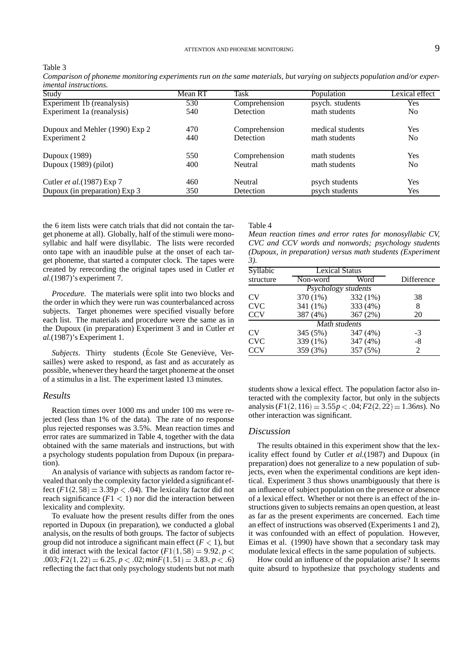| imentai instructions.          |         |               |                  |                |
|--------------------------------|---------|---------------|------------------|----------------|
| Study                          | Mean RT | Task          | Population       | Lexical effect |
| Experiment 1b (reanalysis)     | 530     | Comprehension | psych. students  | Yes            |
| Experiment 1a (reanalysis)     | 540     | Detection     | math students    | N <sub>0</sub> |
| Dupoux and Mehler (1990) Exp 2 | 470     | Comprehension | medical students | Yes            |
| Experiment 2                   | 440     | Detection     | math students    | N <sub>0</sub> |
| Dupoux (1989)                  | 550     | Comprehension | math students    | Yes            |
| Dupoux (1989) (pilot)          | 400     | Neutral       | math students    | N <sub>0</sub> |
| Cutler et al. (1987) Exp 7     | 460     | Neutral       | psych students   | Yes            |
| Dupoux (in preparation) Exp 3  | 350     | Detection     | psych students   | Yes            |

Comparison of phoneme monitoring experiments run on the same materials, but varying on subjects population and/or exper*imental instructions.*

the 6 item lists were catch trials that did not contain the target phoneme at all). Globally, half of the stimuli were monosyllabic and half were disyllabic. The lists were recorded onto tape with an inaudible pulse at the onset of each target phoneme, that started a computer clock. The tapes were created by rerecording the original tapes used in Cutler *et al.*(1987)'s experiment 7.

*Procedure*. The materials were split into two blocks and the order in which they were run was counterbalanced across subjects. Target phonemes were specified visually before each list. The materials and procedure were the same as in the Dupoux (in preparation) Experiment 3 and in Cutler *et al.*(1987)'s Experiment 1.

*Subjects*. Thirty students (École Ste Geneviève, Versailles) were asked to respond, as fast and as accurately as possible, whenever they heard the target phoneme at the onset of a stimulus in a list. The experiment lasted 13 minutes.

#### *Results*

Table 3

Reaction times over 1000 ms and under 100 ms were rejected (less than 1% of the data). The rate of no response plus rejected responses was 3.5%. Mean reaction times and error rates are summarized in Table 4, together with the data obtained with the same materials and instructions, but with a psychology students population from Dupoux (in preparation).

An analysis of variance with subjects as random factor revealed that only the complexity factor yielded a significant effect  $(F1(2, 58) = 3.39p < .04)$ . The lexicality factor did not reach significance  $(F1 < 1)$  nor did the interaction between lexicality and complexity.

To evaluate how the present results differ from the ones reported in Dupoux (in preparation), we conducted a global analysis, on the results of both groups. The factor of subjects group did not introduce a significant main effect  $(F < 1)$ , but it did interact with the lexical factor  $(F1(1, 58) = 9.92, p <$  $(0.003; F2(1, 22) = 6.25, p < 0.02; minF(1, 51) = 3.83, p < 6)$ reflecting the fact that only psychology students but not math

#### Table 4

*Mean reaction times and error rates for monosyllabic CV, CVC and CCV words and nonwords; psychology students (Dupoux, in preparation) versus math students (Experiment 3).*

| Syllabic            | <b>Lexical Status</b> |          |            |  |  |
|---------------------|-----------------------|----------|------------|--|--|
| structure           | Non-word              | Word     | Difference |  |  |
| Psychology students |                       |          |            |  |  |
| <b>CV</b>           | 370 (1%)              | 332 (1%) | 38         |  |  |
| <b>CVC</b>          | 341 (1%)              | 333 (4%) | 8          |  |  |
| <b>CCV</b>          | 387 (4%)              | 367 (2%) | 20         |  |  |
| Math students       |                       |          |            |  |  |
| <b>CV</b>           | 345 (5%)              | 347 (4%) | -3         |  |  |
| <b>CVC</b>          | 339 (1%)              | 347 (4%) | -8         |  |  |
| <b>CCV</b>          | 359 (3%)              | 357 (5%) | 2          |  |  |

students show a lexical effect. The population factor also interacted with the complexity factor, but only in the subjects analysis ( $F1(2, 116) = 3.55p < 0.04$ ;  $F2(2, 22) = 1.36ns$ ). No other interaction was significant.

### *Discussion*

The results obtained in this experiment show that the lexicality effect found by Cutler *et al.*(1987) and Dupoux (in preparation) does not generalize to a new population of subjects, even when the experimental conditions are kept identical. Experiment 3 thus shows unambiguously that there is an influence of subject population on the presence or absence of a lexical effect. Whether or not there is an effect of the instructions given to subjects remains an open question, at least as far as the present experiments are concerned. Each time an effect of instructions was observed (Experiments 1 and 2), it was confounded with an effect of population. However, Eimas et al. (1990) have shown that a secondary task may modulate lexical effects in the same population of subjects.

How could an influence of the population arise? It seems quite absurd to hypothesize that psychology students and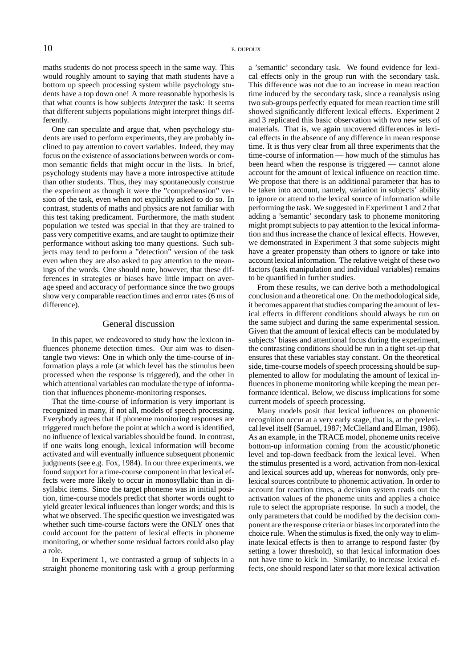maths students do not process speech in the same way. This would roughly amount to saying that math students have a bottom up speech processing system while psychology students have a top down one! A more reasonable hypothesis is that what counts is how subjects interpret the task: It seems that different subjects populations might interpret things differently.

One can speculate and argue that, when psychology students are used to perform experiments, they are probably inclined to pay attention to covert variables. Indeed, they may focus on the existence of associations between words or common semantic fields that might occur in the lists. In brief, psychology students may have a more introspective attitude than other students. Thus, they may spontaneously construe the experiment as though it were the "comprehension" version of the task, even when not explicitly asked to do so. In contrast, students of maths and physics are not familiar with this test taking predicament. Furthermore, the math student population we tested was special in that they are trained to pass very competitive exams, and are taught to optimize their performance without asking too many questions. Such subjects may tend to perform a "detection" version of the task even when they are also asked to pay attention to the meanings of the words. One should note, however, that these differences in strategies or biases have little impact on average speed and accuracy of performance since the two groups show very comparable reaction times and error rates (6 ms of difference).

# General discussion

In this paper, we endeavored to study how the lexicon influences phoneme detection times. Our aim was to disentangle two views: One in which only the time-course of information plays a role (at which level has the stimulus been processed when the response is triggered), and the other in which attentional variables can modulate the type of information that influences phoneme-monitoring responses.

That the time-course of information is very important is recognized in many, if not all, models of speech processing. Everybody agrees that if phoneme monitoring responses are triggered much before the point at which a word is identified, no influence of lexical variables should be found. In contrast, if one waits long enough, lexical information will become activated and will eventually influence subsequent phonemic judgments (see e.g. Fox, 1984). In our three experiments, we found support for a time-course component in that lexical effects were more likely to occur in monosyllabic than in disyllabic items. Since the target phoneme was in initial position, time-course models predict that shorter words ought to yield greater lexical influences than longer words; and this is what we observed. The specific question we investigated was whether such time-course factors were the ONLY ones that could account for the pattern of lexical effects in phoneme monitoring, or whether some residual factors could also play a role.

In Experiment 1, we contrasted a group of subjects in a straight phoneme monitoring task with a group performing a 'semantic' secondary task. We found evidence for lexical effects only in the group run with the secondary task. This difference was not due to an increase in mean reaction time induced by the secondary task, since a reanalysis using two sub-groups perfectly equated for mean reaction time still showed significantly different lexical effects. Experiment 2 and 3 replicated this basic observation with two new sets of materials. That is, we again uncovered differences in lexical effects in the absence of any difference in mean response time. It is thus very clear from all three experiments that the time-course of information — how much of the stimulus has been heard when the response is triggered — cannot alone account for the amount of lexical influence on reaction time. We propose that there is an additional parameter that has to be taken into account, namely, variation in subjects' ability to ignore or attend to the lexical source of information while performing the task. We suggested in Experiment 1 and 2 that adding a 'semantic' secondary task to phoneme monitoring might prompt subjects to pay attention to the lexical information and thus increase the chance of lexical effects. However, we demonstrated in Experiment 3 that some subjects might have a greater propensity than others to ignore or take into account lexical information. The relative weight of these two factors (task manipulation and individual variables) remains to be quantified in further studies.

From these results, we can derive both a methodological conclusion and a theoretical one. On the methodological side, it becomes apparent that studies comparing the amount of lexical effects in different conditions should always be run on the same subject and during the same experimental session. Given that the amount of lexical effects can be modulated by subjects' biases and attentional focus during the experiment, the contrasting conditions should be run in a tight set-up that ensures that these variables stay constant. On the theoretical side, time-course models of speech processing should be supplemented to allow for modulating the amount of lexical influences in phoneme monitoring while keeping the mean performance identical. Below, we discuss implications for some current models of speech processing.

Many models posit that lexical influences on phonemic recognition occur at a very early stage, that is, at the prelexical level itself (Samuel, 1987; McClelland and Elman, 1986). As an example, in the TRACE model, phoneme units receive bottom-up information coming from the acoustic/phonetic level and top-down feedback from the lexical level. When the stimulus presented is a word, activation from non-lexical and lexical sources add up, whereas for nonwords, only prelexical sources contribute to phonemic activation. In order to account for reaction times, a decision system reads out the activation values of the phoneme units and applies a choice rule to select the appropriate response. In such a model, the only parameters that could be modified by the decision component are the response criteria or biasesincorporated into the choice rule. When the stimulus is fixed, the only way to eliminate lexical effects is then to arrange to respond faster (by setting a lower threshold), so that lexical information does not have time to kick in. Similarily, to increase lexical effects, one should respond later so that more lexical activation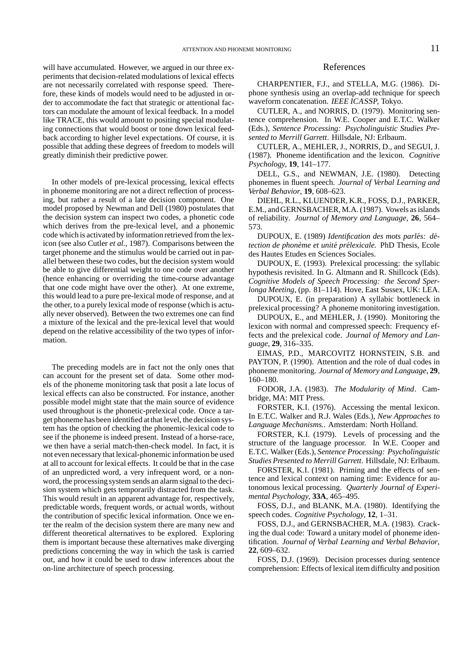will have accumulated. However, we argued in our three experiments that decision-related modulations of lexical effects are not necessarily correlated with response speed. Therefore, these kinds of models would need to be adjusted in order to accommodate the fact that strategic or attentional factors can modulate the amount of lexical feedback. In a model like TRACE, this would amount to positing special modulating connections that would boost or tone down lexical feedback according to higher level expectations. Of course, it is possible that adding these degrees of freedom to models will greatly diminish their predictive power.

In other models of pre-lexical processing, lexical effects in phoneme monitoring are not a direct reflection of processing, but rather a result of a late decision component. One model proposed by Newman and Dell (1980) postulates that the decision system can inspect two codes, a phonetic code which derives from the pre-lexical level, and a phonemic code which is activated by information retrieved from the lexicon (see also Cutler *et al.*, 1987). Comparisons between the target phoneme and the stimulus would be carried out in parallel between these two codes, but the decision system would be able to give differential weight to one code over another (hence enhancing or overriding the time-course advantage that one code might have over the other). At one extreme, this would lead to a pure pre-lexical mode of response, and at the other, to a purely lexical mode of response (which is actually never observed). Between the two extremes one can find a mixture of the lexical and the pre-lexical level that would depend on the relative accessibility of the two types of information.

The preceding models are in fact not the only ones that can account for the present set of data. Some other models of the phoneme monitoring task that posit a late locus of lexical effects can also be constructed. For instance, another possible model might state that the main source of evidence used throughout is the phonetic-prelexical code. Once a target phoneme has been identified at that level, the decision system has the option of checking the phonemic-lexical code to see if the phoneme is indeed present. Instead of a horse-race, we then have a serial match-then-check model. In fact, it is not even necessary that lexical-phonemic information be used at all to account for lexical effects. It could be that in the case of an unpredicted word, a very infrequent word, or a nonword, the processing system sends an alarm signal to the decision system which gets temporarily distracted from the task. This would result in an apparent advantage for, respectively, predictable words, frequent words, or actual words, without the contribution of specific lexical information. Once we enter the realm of the decision system there are many new and different theoretical alternatives to be explored. Exploring them is important because these alternatives make diverging predictions concerning the way in which the task is carried out, and how it could be used to draw inferences about the on-line architecture of speech processing.

### References

CHARPENTIER, F.J., and STELLA, M.G. (1986). Diphone synthesis using an overlap-add technique for speech waveform concatenation. IEEE ICASSP, Tokyo.

CUTLER, A., and NORRIS, D. (1979). Monitoring sentence comprehension. In W.E. Cooper and E.T.C. Walker (Eds.), *Sentence Processing: Psycholinguistic Studies Presented to Merrill Garrett*. Hillsdale, NJ: Erlbaum.

CUTLER, A., MEHLER, J., NORRIS, D., and SEGUI, J. (1987). Phoneme identification and the lexicon. *Cognitive Psychology*, **19**, 141–177.

DELL, G.S., and NEWMAN, J.E. (1980). Detecting phonemes in fluent speech. *Journal of Verbal Learning and Verbal Behavior*, **19**, 608–623.

DIEHL, R.L., KLUENDER, K.R., FOSS, D.J., PARKER, E.M., and GERNSBACHER, M.A. (1987). Vowels as islands of reliability. *Journal of Memory and Language*, **26**, 564– 573.

DUPOUX, E. (1989) *Identification des mots parles: ´ de-´ tection de phoneme ` et unite´ prelexicale ´* . PhD Thesis, Ecole des Hautes Etudes en Sciences Sociales.

DUPOUX, E. (1993). Prelexical processing: the syllabic hypothesis revisited. In G. Altmann and R. Shillcock (Eds). *Cognitive Models of Speech Processing: the Second Sperlonga Meeting*, (pp. 81–114). Hove, East Sussex, UK: LEA.

DUPOUX, E. (in preparation) A syllabic bottleneck in prelexical processing? A phoneme monitoring investigation.

DUPOUX, E., and MEHLER, J. (1990). Monitoring the lexicon with normal and compressed speech: Frequency effects and the prelexical code. *Journal of Memory and Language*, **29**, 316–335.

EIMAS, P.D., MARCOVITZ HORNSTEIN, S.B. and PAYTON, P. (1990). Attention and the role of dual codes in phoneme monitoring. *Journal of Memory andLanguage*, **29**, 160–180.

FODOR, J.A. (1983). *The Modularity of Mind*. Cambridge, MA: MIT Press.

FORSTER, K.I. (1976). Accessing the mental lexicon. In E.T.C. Walker and R.J. Wales (Eds.), *New Approaches to Language Mechanisms.*. Amsterdam: North Holland.

FORSTER, K.I. (1979). Levels of processing and the structure of the language processor. In W.E. Cooper and E.T.C. Walker (Eds.), *Sentence Processing: Psycholinguistic Studies Presented to Merrill Garrett*. Hillsdale, NJ: Erlbaum.

FORSTER, K.I. (1981). Priming and the effects of sentence and lexical context on naming time: Evidence for autonomous lexical processing. *Quarterly Journal of Experimental Psychology*, **33A**, 465–495.

FOSS, D.J., and BLANK, M.A. (1980). Identifying the speech codes. *Cognitive Psychology*, **12**, 1–31.

FOSS, D.J., and GERNSBACHER, M.A. (1983). Cracking the dual code: Toward a unitary model of phoneme identification. *Journal of Verbal Learning and Verbal Behavior*, **22**, 609–632.

FOSS, D.J. (1969). Decision processes during sentence comprehension: Effects of lexical item difficulty and position